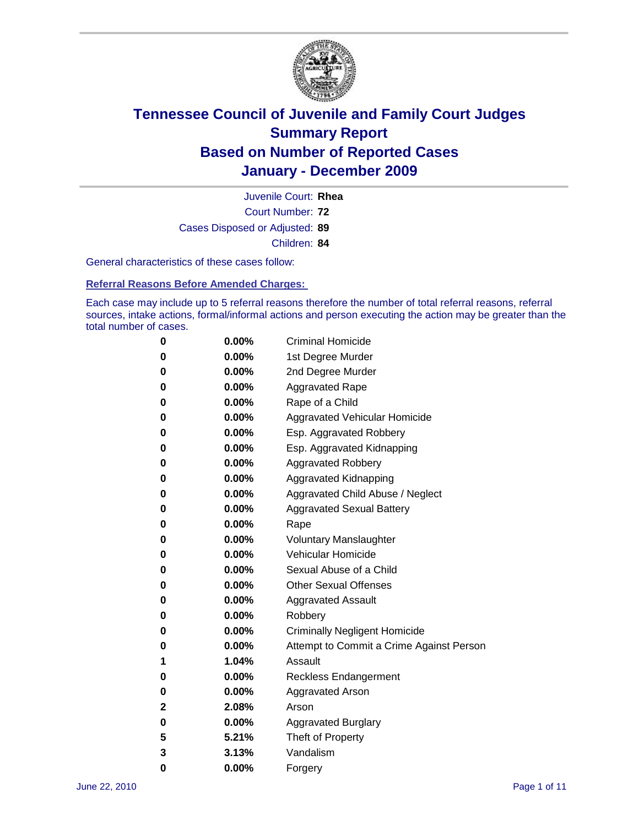

Court Number: **72** Juvenile Court: **Rhea** Cases Disposed or Adjusted: **89** Children: **84**

General characteristics of these cases follow:

**Referral Reasons Before Amended Charges:** 

Each case may include up to 5 referral reasons therefore the number of total referral reasons, referral sources, intake actions, formal/informal actions and person executing the action may be greater than the total number of cases.

| 0 | $0.00\%$ | <b>Criminal Homicide</b>                 |
|---|----------|------------------------------------------|
| 0 | $0.00\%$ | 1st Degree Murder                        |
| 0 | $0.00\%$ | 2nd Degree Murder                        |
| 0 | $0.00\%$ | <b>Aggravated Rape</b>                   |
| 0 | $0.00\%$ | Rape of a Child                          |
| 0 | $0.00\%$ | Aggravated Vehicular Homicide            |
| 0 | $0.00\%$ | Esp. Aggravated Robbery                  |
| 0 | $0.00\%$ | Esp. Aggravated Kidnapping               |
| 0 | $0.00\%$ | <b>Aggravated Robbery</b>                |
| 0 | $0.00\%$ | Aggravated Kidnapping                    |
| 0 | $0.00\%$ | Aggravated Child Abuse / Neglect         |
| 0 | $0.00\%$ | <b>Aggravated Sexual Battery</b>         |
| 0 | 0.00%    | Rape                                     |
| 0 | $0.00\%$ | <b>Voluntary Manslaughter</b>            |
| 0 | $0.00\%$ | Vehicular Homicide                       |
| 0 | $0.00\%$ | Sexual Abuse of a Child                  |
| 0 | $0.00\%$ | <b>Other Sexual Offenses</b>             |
| 0 | $0.00\%$ | <b>Aggravated Assault</b>                |
| 0 | $0.00\%$ | Robbery                                  |
| 0 | $0.00\%$ | <b>Criminally Negligent Homicide</b>     |
| 0 | $0.00\%$ | Attempt to Commit a Crime Against Person |
| 1 | 1.04%    | Assault                                  |
| 0 | $0.00\%$ | <b>Reckless Endangerment</b>             |
| 0 | 0.00%    | <b>Aggravated Arson</b>                  |
| 2 | 2.08%    | Arson                                    |
| 0 | $0.00\%$ | <b>Aggravated Burglary</b>               |
| 5 | 5.21%    | Theft of Property                        |
| 3 | 3.13%    | Vandalism                                |
| 0 | 0.00%    | Forgery                                  |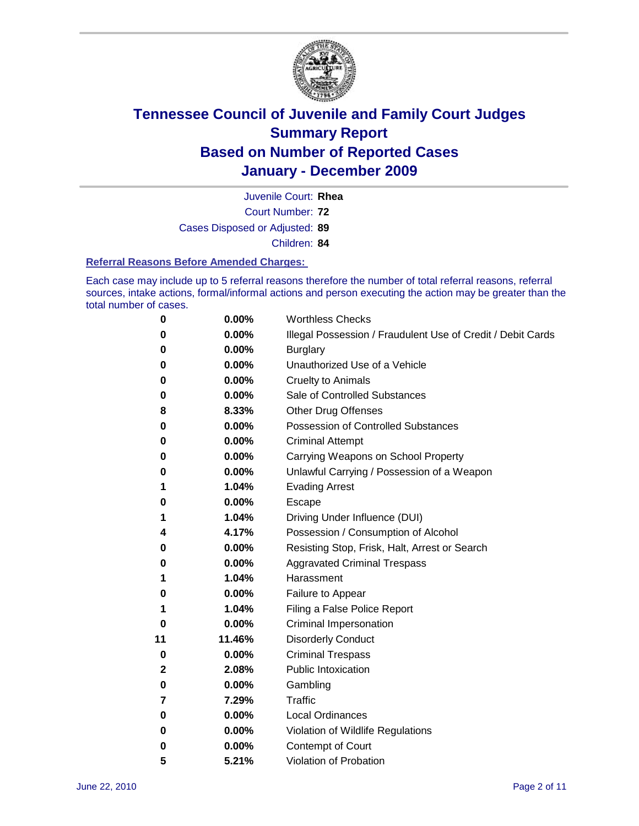

Court Number: **72** Juvenile Court: **Rhea** Cases Disposed or Adjusted: **89** Children: **84**

#### **Referral Reasons Before Amended Charges:**

Each case may include up to 5 referral reasons therefore the number of total referral reasons, referral sources, intake actions, formal/informal actions and person executing the action may be greater than the total number of cases.

| 0  | 0.00%  | <b>Worthless Checks</b>                                     |
|----|--------|-------------------------------------------------------------|
| 0  | 0.00%  | Illegal Possession / Fraudulent Use of Credit / Debit Cards |
| 0  | 0.00%  | <b>Burglary</b>                                             |
| 0  | 0.00%  | Unauthorized Use of a Vehicle                               |
| 0  | 0.00%  | <b>Cruelty to Animals</b>                                   |
| 0  | 0.00%  | Sale of Controlled Substances                               |
| 8  | 8.33%  | <b>Other Drug Offenses</b>                                  |
| 0  | 0.00%  | <b>Possession of Controlled Substances</b>                  |
| 0  | 0.00%  | <b>Criminal Attempt</b>                                     |
| 0  | 0.00%  | Carrying Weapons on School Property                         |
| 0  | 0.00%  | Unlawful Carrying / Possession of a Weapon                  |
| 1  | 1.04%  | <b>Evading Arrest</b>                                       |
| 0  | 0.00%  | Escape                                                      |
| 1  | 1.04%  | Driving Under Influence (DUI)                               |
| 4  | 4.17%  | Possession / Consumption of Alcohol                         |
| 0  | 0.00%  | Resisting Stop, Frisk, Halt, Arrest or Search               |
| 0  | 0.00%  | <b>Aggravated Criminal Trespass</b>                         |
| 1  | 1.04%  | Harassment                                                  |
| 0  | 0.00%  | Failure to Appear                                           |
| 1  | 1.04%  | Filing a False Police Report                                |
| 0  | 0.00%  | Criminal Impersonation                                      |
| 11 | 11.46% | <b>Disorderly Conduct</b>                                   |
| 0  | 0.00%  | <b>Criminal Trespass</b>                                    |
| 2  | 2.08%  | <b>Public Intoxication</b>                                  |
| 0  | 0.00%  | Gambling                                                    |
| 7  | 7.29%  | <b>Traffic</b>                                              |
| 0  | 0.00%  | <b>Local Ordinances</b>                                     |
| 0  | 0.00%  | Violation of Wildlife Regulations                           |
| 0  | 0.00%  | Contempt of Court                                           |
| 5  | 5.21%  | Violation of Probation                                      |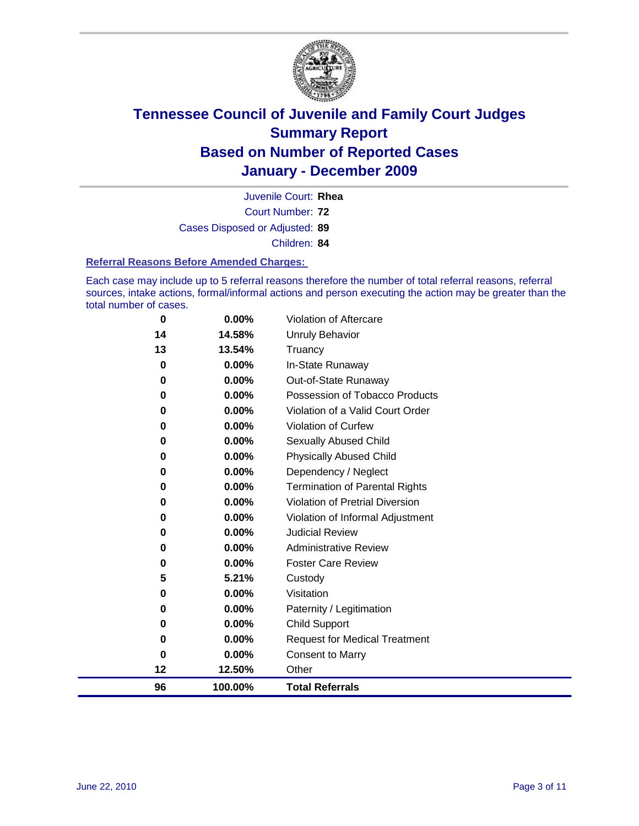

Court Number: **72** Juvenile Court: **Rhea** Cases Disposed or Adjusted: **89** Children: **84**

#### **Referral Reasons Before Amended Charges:**

Each case may include up to 5 referral reasons therefore the number of total referral reasons, referral sources, intake actions, formal/informal actions and person executing the action may be greater than the total number of cases.

| 96            | 100.00%        | <b>Total Referrals</b>                                 |
|---------------|----------------|--------------------------------------------------------|
| 12            | 12.50%         | Other                                                  |
| 0             | 0.00%          | <b>Consent to Marry</b>                                |
| 0             | 0.00%          | <b>Request for Medical Treatment</b>                   |
| 0             | 0.00%          | <b>Child Support</b>                                   |
| 0             | 0.00%          | Paternity / Legitimation                               |
| 0             | 0.00%          | Visitation                                             |
| 5             | 5.21%          | Custody                                                |
| 0             | 0.00%          | <b>Foster Care Review</b>                              |
| 0             | $0.00\%$       | <b>Administrative Review</b>                           |
| 0             | $0.00\%$       | <b>Judicial Review</b>                                 |
| 0             | 0.00%          | Violation of Informal Adjustment                       |
| 0             | 0.00%          | <b>Violation of Pretrial Diversion</b>                 |
| 0             | 0.00%          | <b>Termination of Parental Rights</b>                  |
| 0             | 0.00%          | Dependency / Neglect                                   |
| $\bf{0}$      | 0.00%          | <b>Physically Abused Child</b>                         |
| 0             | 0.00%          | Sexually Abused Child                                  |
| 0             | 0.00%          | Violation of Curfew                                    |
| $\bf{0}$      | 0.00%          | Violation of a Valid Court Order                       |
| 0<br>$\bf{0}$ | 0.00%<br>0.00% | Out-of-State Runaway<br>Possession of Tobacco Products |
| $\bf{0}$      | 0.00%          | In-State Runaway                                       |
| 13            | 13.54%         | Truancy                                                |
| 14            | 14.58%         | Unruly Behavior                                        |
| $\bf{0}$      | 0.00%          | Violation of Aftercare                                 |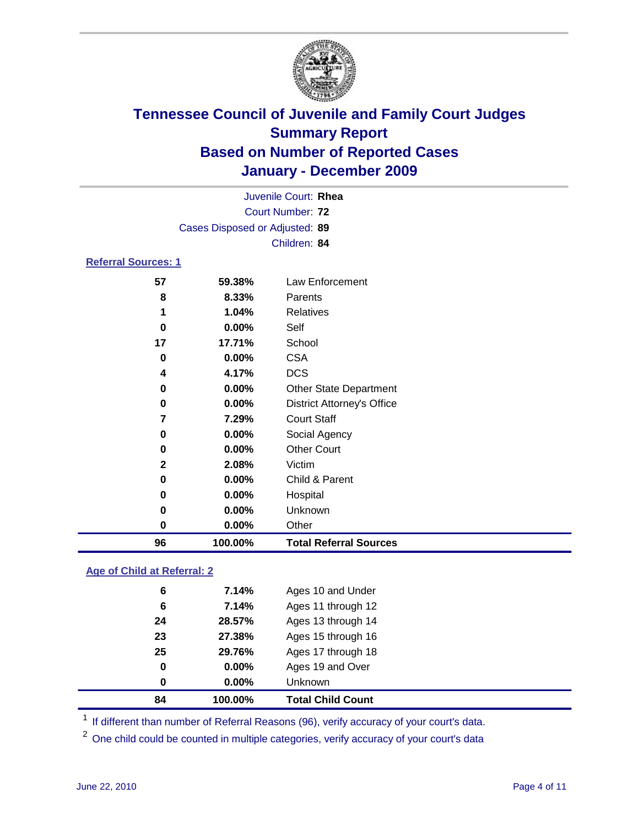

|                            |                                | Juvenile Court: Rhea              |
|----------------------------|--------------------------------|-----------------------------------|
|                            |                                | <b>Court Number: 72</b>           |
|                            | Cases Disposed or Adjusted: 89 |                                   |
|                            |                                | Children: 84                      |
| <b>Referral Sources: 1</b> |                                |                                   |
| 57                         | 59.38%                         | <b>Law Enforcement</b>            |
| 8                          | 8.33%                          | Parents                           |
| 1                          | 1.04%                          | <b>Relatives</b>                  |
| 0                          | $0.00\%$                       | Self                              |
| 17                         | 17.71%                         | School                            |
| 0                          | 0.00%                          | <b>CSA</b>                        |
| 4                          | 4.17%                          | <b>DCS</b>                        |
| 0                          | 0.00%                          | <b>Other State Department</b>     |
| 0                          | $0.00\%$                       | <b>District Attorney's Office</b> |
| 7                          | 7.29%                          | <b>Court Staff</b>                |
| 0                          | $0.00\%$                       | Social Agency                     |
| $\bf{0}$                   | $0.00\%$                       | <b>Other Court</b>                |
| 2                          | 2.08%                          | Victim                            |
| 0                          | $0.00\%$                       | Child & Parent                    |
| 0                          | $0.00\%$                       | Hospital                          |
| 0                          | $0.00\%$                       | Unknown                           |
| 0                          | 0.00%                          | Other                             |

### **Age of Child at Referral: 2**

| 25<br>0<br>0 | 29.76%<br>0.00%<br>$0.00\%$ | Ages 17 through 18<br>Ages 19 and Over<br>Unknown |
|--------------|-----------------------------|---------------------------------------------------|
|              |                             |                                                   |
|              |                             |                                                   |
|              |                             |                                                   |
| 23           | 27.38%                      | Ages 15 through 16                                |
| 24           | 28.57%                      | Ages 13 through 14                                |
| 6            | 7.14%                       | Ages 11 through 12                                |
| 6            | 7.14%                       | Ages 10 and Under                                 |
|              |                             |                                                   |

<sup>1</sup> If different than number of Referral Reasons (96), verify accuracy of your court's data.

**100.00% Total Referral Sources**

<sup>2</sup> One child could be counted in multiple categories, verify accuracy of your court's data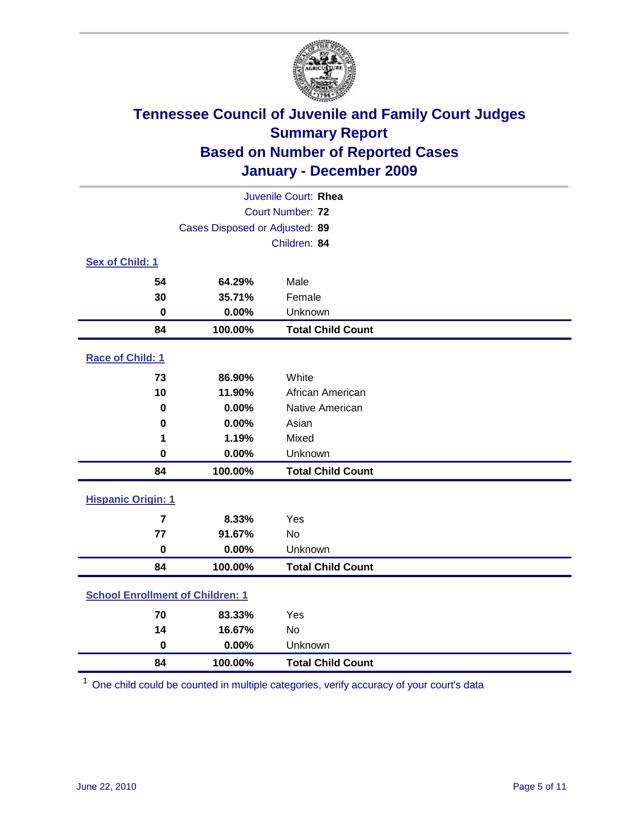

| Juvenile Court: Rhea                    |                                |                          |  |  |  |
|-----------------------------------------|--------------------------------|--------------------------|--|--|--|
| Court Number: 72                        |                                |                          |  |  |  |
|                                         | Cases Disposed or Adjusted: 89 |                          |  |  |  |
|                                         |                                | Children: 84             |  |  |  |
| Sex of Child: 1                         |                                |                          |  |  |  |
| 54                                      | 64.29%                         | Male                     |  |  |  |
| 30                                      | 35.71%                         | Female                   |  |  |  |
| $\bf{0}$                                | 0.00%                          | Unknown                  |  |  |  |
| 84                                      | 100.00%                        | <b>Total Child Count</b> |  |  |  |
| Race of Child: 1                        |                                |                          |  |  |  |
| 73                                      | 86.90%                         | White                    |  |  |  |
| 10                                      | 11.90%                         | African American         |  |  |  |
| 0                                       | 0.00%                          | Native American          |  |  |  |
| $\mathbf 0$                             | 0.00%                          | Asian                    |  |  |  |
| 1                                       | 1.19%                          | Mixed                    |  |  |  |
| 0                                       | 0.00%                          | Unknown                  |  |  |  |
| 84                                      | 100.00%                        | <b>Total Child Count</b> |  |  |  |
| <b>Hispanic Origin: 1</b>               |                                |                          |  |  |  |
| $\overline{7}$                          | 8.33%                          | Yes                      |  |  |  |
| 77                                      | 91.67%                         | <b>No</b>                |  |  |  |
| $\bf{0}$                                | 0.00%                          | Unknown                  |  |  |  |
| 84                                      | 100.00%                        | <b>Total Child Count</b> |  |  |  |
| <b>School Enrollment of Children: 1</b> |                                |                          |  |  |  |
| 70                                      | 83.33%                         | Yes                      |  |  |  |
| 14                                      | 16.67%                         | <b>No</b>                |  |  |  |
| $\pmb{0}$                               | 0.00%                          | Unknown                  |  |  |  |
| 84                                      | 100.00%                        | <b>Total Child Count</b> |  |  |  |

One child could be counted in multiple categories, verify accuracy of your court's data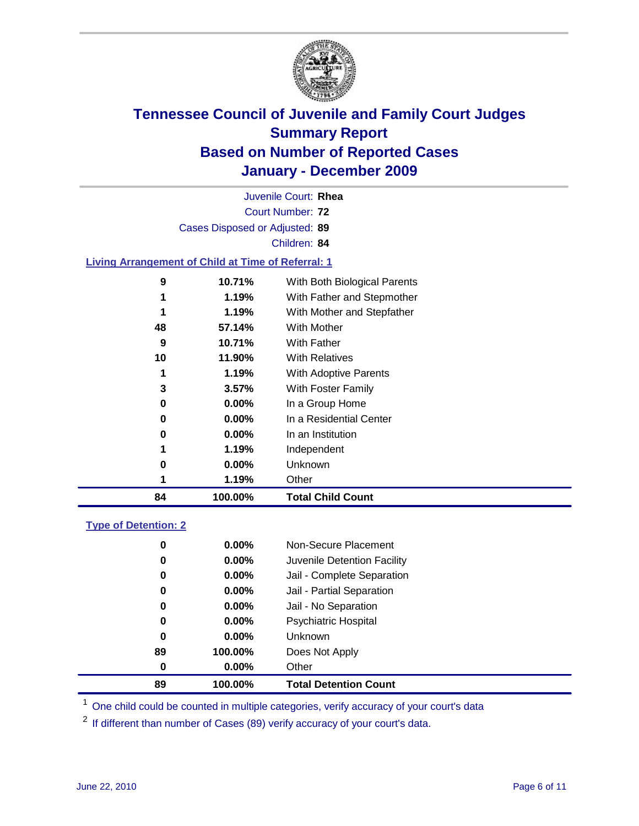

| Juvenile Court: Rhea |                                                           |                              |  |  |  |  |
|----------------------|-----------------------------------------------------------|------------------------------|--|--|--|--|
|                      | Court Number: 72                                          |                              |  |  |  |  |
|                      | Cases Disposed or Adjusted: 89                            |                              |  |  |  |  |
|                      |                                                           | Children: 84                 |  |  |  |  |
|                      | <b>Living Arrangement of Child at Time of Referral: 1</b> |                              |  |  |  |  |
| 9                    | 10.71%                                                    | With Both Biological Parents |  |  |  |  |
| 1                    | 1.19%                                                     | With Father and Stepmother   |  |  |  |  |
| 1                    | 1.19%                                                     | With Mother and Stepfather   |  |  |  |  |
| 48                   | 57.14%                                                    | With Mother                  |  |  |  |  |
| 9                    | 10.71%                                                    | <b>With Father</b>           |  |  |  |  |
|                      |                                                           |                              |  |  |  |  |

| 84 | 100.00%  | <b>Total Child Count</b> |
|----|----------|--------------------------|
| 1  | 1.19%    | Other                    |
| 0  | $0.00\%$ | Unknown                  |
| 1  | 1.19%    | Independent              |
| 0  | $0.00\%$ | In an Institution        |
| 0  | $0.00\%$ | In a Residential Center  |
| 0  | $0.00\%$ | In a Group Home          |
| 3  | 3.57%    | With Foster Family       |
| 1  | 1.19%    | With Adoptive Parents    |
| 10 | 11.90%   | <b>With Relatives</b>    |
|    |          |                          |

### **Type of Detention: 2**

| 89 | 100.00%  | <b>Total Detention Count</b> |  |
|----|----------|------------------------------|--|
| 0  | 0.00%    | Other                        |  |
| 89 | 100.00%  | Does Not Apply               |  |
| 0  | $0.00\%$ | <b>Unknown</b>               |  |
| 0  | $0.00\%$ | Psychiatric Hospital         |  |
| 0  | 0.00%    | Jail - No Separation         |  |
| 0  | $0.00\%$ | Jail - Partial Separation    |  |
| 0  | 0.00%    | Jail - Complete Separation   |  |
| 0  | 0.00%    | Juvenile Detention Facility  |  |
| 0  | $0.00\%$ | Non-Secure Placement         |  |
|    |          |                              |  |

<sup>1</sup> One child could be counted in multiple categories, verify accuracy of your court's data

<sup>2</sup> If different than number of Cases (89) verify accuracy of your court's data.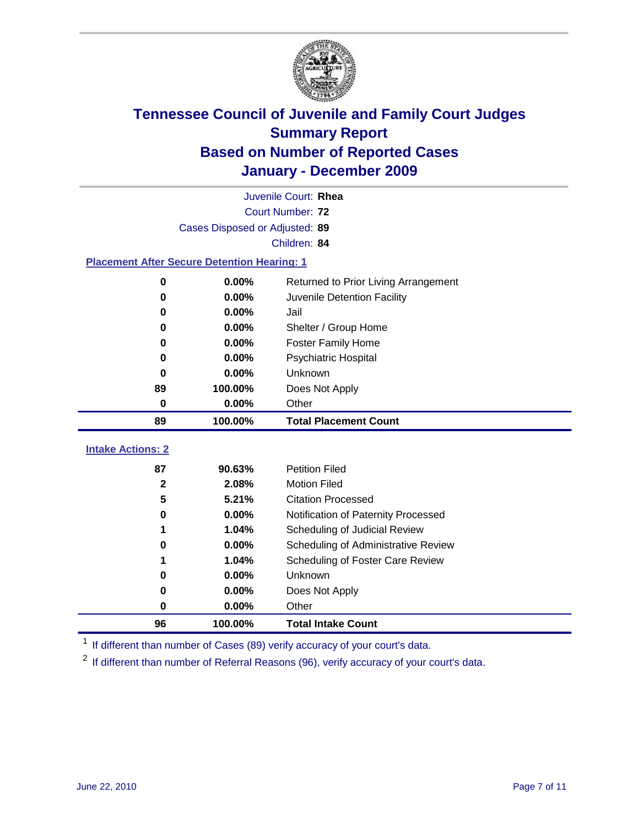

|                                                    | Juvenile Court: Rhea           |                                      |  |  |  |
|----------------------------------------------------|--------------------------------|--------------------------------------|--|--|--|
|                                                    | Court Number: 72               |                                      |  |  |  |
|                                                    | Cases Disposed or Adjusted: 89 |                                      |  |  |  |
|                                                    |                                | Children: 84                         |  |  |  |
| <b>Placement After Secure Detention Hearing: 1</b> |                                |                                      |  |  |  |
| $\mathbf 0$                                        | 0.00%                          | Returned to Prior Living Arrangement |  |  |  |
| $\bf{0}$                                           | 0.00%                          | Juvenile Detention Facility          |  |  |  |
| 0                                                  | 0.00%                          | Jail                                 |  |  |  |
| 0                                                  | 0.00%                          | Shelter / Group Home                 |  |  |  |
| $\bf{0}$                                           | 0.00%                          | Foster Family Home                   |  |  |  |
| $\bf{0}$                                           | 0.00%                          | Psychiatric Hospital                 |  |  |  |
| 0                                                  | 0.00%                          | <b>Unknown</b>                       |  |  |  |
| 89                                                 | 100.00%                        | Does Not Apply                       |  |  |  |
| $\mathbf 0$                                        | 0.00%                          | Other                                |  |  |  |
| 89                                                 | 100.00%                        | <b>Total Placement Count</b>         |  |  |  |
| <b>Intake Actions: 2</b>                           |                                |                                      |  |  |  |
|                                                    |                                |                                      |  |  |  |
| 87                                                 | 90.63%                         | <b>Petition Filed</b>                |  |  |  |
| $\mathbf{2}$                                       | 2.08%                          | <b>Motion Filed</b>                  |  |  |  |
| 5                                                  | 5.21%                          | <b>Citation Processed</b>            |  |  |  |
| 0                                                  | 0.00%                          | Notification of Paternity Processed  |  |  |  |
| 1                                                  | 1.04%                          | Scheduling of Judicial Review        |  |  |  |
| 0                                                  | 0.00%                          | Scheduling of Administrative Review  |  |  |  |
| 1                                                  | 1.04%                          | Scheduling of Foster Care Review     |  |  |  |
| $\bf{0}$                                           | 0.00%                          | Unknown                              |  |  |  |
| 0                                                  | 0.00%                          | Does Not Apply                       |  |  |  |
| $\bf{0}$                                           | 0.00%                          | Other                                |  |  |  |
| 96                                                 | 100.00%                        | <b>Total Intake Count</b>            |  |  |  |

<sup>1</sup> If different than number of Cases (89) verify accuracy of your court's data.

<sup>2</sup> If different than number of Referral Reasons (96), verify accuracy of your court's data.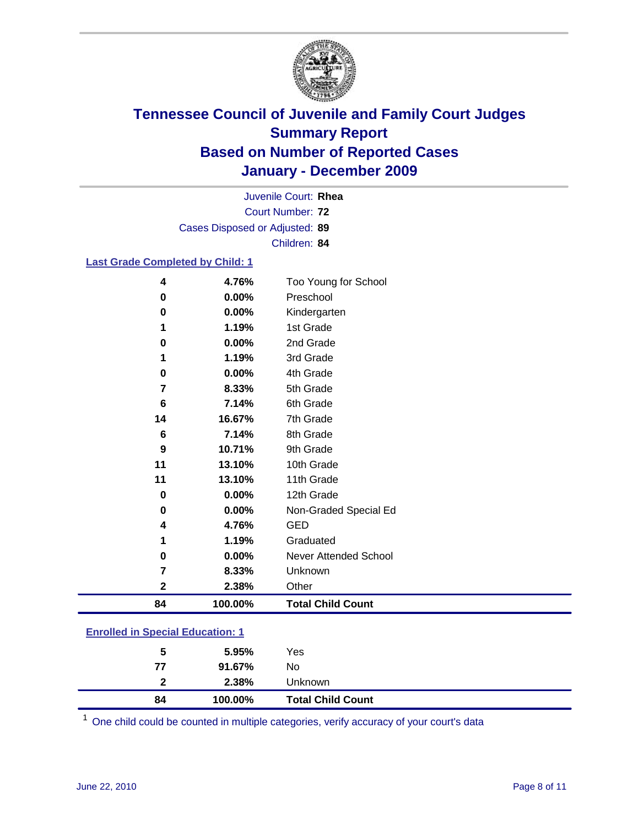

Court Number: **72** Juvenile Court: **Rhea** Cases Disposed or Adjusted: **89** Children: **84**

### **Last Grade Completed by Child: 1**

| 4                                       | 4.76%    | Too Young for School         |  |
|-----------------------------------------|----------|------------------------------|--|
| 0                                       | 0.00%    | Preschool                    |  |
| 0                                       | 0.00%    | Kindergarten                 |  |
| 1                                       | 1.19%    | 1st Grade                    |  |
| 0                                       | $0.00\%$ | 2nd Grade                    |  |
| 1                                       | 1.19%    | 3rd Grade                    |  |
| 0                                       | 0.00%    | 4th Grade                    |  |
| 7                                       | 8.33%    | 5th Grade                    |  |
| 6                                       | 7.14%    | 6th Grade                    |  |
| 14                                      | 16.67%   | 7th Grade                    |  |
| 6                                       | 7.14%    | 8th Grade                    |  |
| 9                                       | 10.71%   | 9th Grade                    |  |
| 11                                      | 13.10%   | 10th Grade                   |  |
| 11                                      | 13.10%   | 11th Grade                   |  |
| $\mathbf 0$                             | 0.00%    | 12th Grade                   |  |
| 0                                       | 0.00%    | Non-Graded Special Ed        |  |
| 4                                       | 4.76%    | <b>GED</b>                   |  |
| 1                                       | 1.19%    | Graduated                    |  |
| 0                                       | 0.00%    | <b>Never Attended School</b> |  |
| 7                                       | 8.33%    | Unknown                      |  |
| 2                                       | 2.38%    | Other                        |  |
| 84                                      | 100.00%  | <b>Total Child Count</b>     |  |
| <b>Enrolled in Special Education: 1</b> |          |                              |  |

| 84           | 100.00% | <b>Total Child Count</b> |  |  |
|--------------|---------|--------------------------|--|--|
| $\mathbf{2}$ | 2.38%   | <b>Unknown</b>           |  |  |
| 77           | 91.67%  | No.                      |  |  |
| 5            | 5.95%   | Yes                      |  |  |
|              |         |                          |  |  |

One child could be counted in multiple categories, verify accuracy of your court's data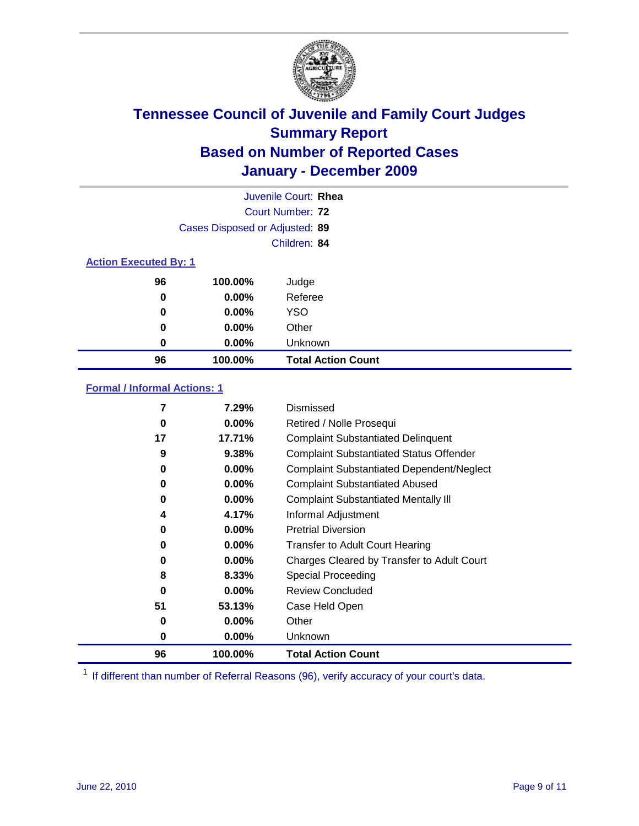

|                              |                                | Juvenile Court: Rhea      |
|------------------------------|--------------------------------|---------------------------|
|                              |                                | Court Number: 72          |
|                              | Cases Disposed or Adjusted: 89 |                           |
|                              |                                | Children: 84              |
| <b>Action Executed By: 1</b> |                                |                           |
| 96                           | 100.00%                        | Judge                     |
| 0                            | $0.00\%$                       | Referee                   |
| 0                            | $0.00\%$                       | <b>YSO</b>                |
| 0                            | $0.00\%$                       | Other                     |
| 0                            | $0.00\%$                       | Unknown                   |
| 96                           | 100.00%                        | <b>Total Action Count</b> |

### **Formal / Informal Actions: 1**

| 7  | 7.29%    | Dismissed                                        |
|----|----------|--------------------------------------------------|
| 0  | $0.00\%$ | Retired / Nolle Prosequi                         |
| 17 | 17.71%   | <b>Complaint Substantiated Delinquent</b>        |
| 9  | 9.38%    | <b>Complaint Substantiated Status Offender</b>   |
| 0  | $0.00\%$ | <b>Complaint Substantiated Dependent/Neglect</b> |
| 0  | $0.00\%$ | <b>Complaint Substantiated Abused</b>            |
| 0  | $0.00\%$ | <b>Complaint Substantiated Mentally III</b>      |
| 4  | 4.17%    | Informal Adjustment                              |
| 0  | $0.00\%$ | <b>Pretrial Diversion</b>                        |
| 0  | $0.00\%$ | <b>Transfer to Adult Court Hearing</b>           |
| 0  | $0.00\%$ | Charges Cleared by Transfer to Adult Court       |
| 8  | 8.33%    | Special Proceeding                               |
| 0  | $0.00\%$ | <b>Review Concluded</b>                          |
| 51 | 53.13%   | Case Held Open                                   |
| 0  | $0.00\%$ | Other                                            |
| 0  | $0.00\%$ | <b>Unknown</b>                                   |
| 96 | 100.00%  | <b>Total Action Count</b>                        |

<sup>1</sup> If different than number of Referral Reasons (96), verify accuracy of your court's data.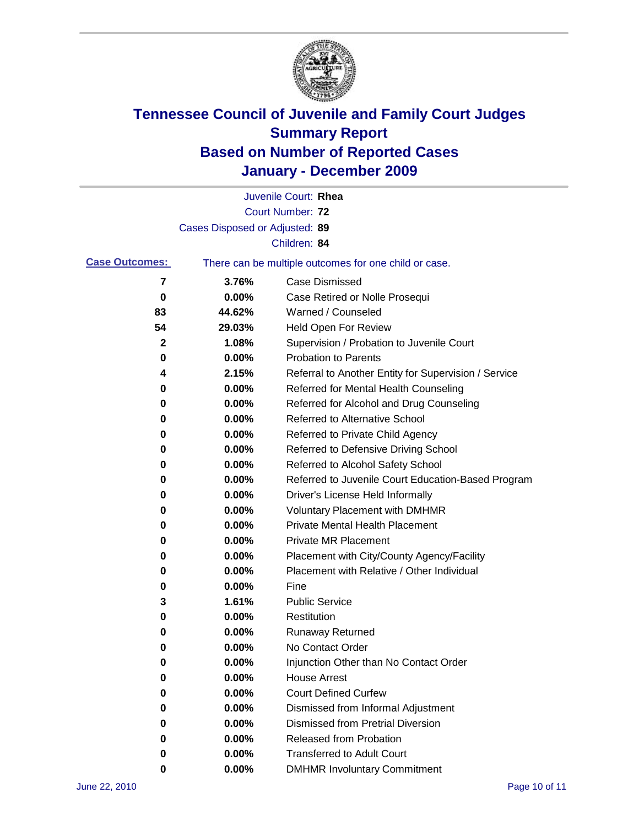

|                       |                                | Juvenile Court: Rhea                                  |
|-----------------------|--------------------------------|-------------------------------------------------------|
|                       |                                | Court Number: 72                                      |
|                       | Cases Disposed or Adjusted: 89 |                                                       |
|                       |                                | Children: 84                                          |
| <b>Case Outcomes:</b> |                                | There can be multiple outcomes for one child or case. |
| 7                     | 3.76%                          | <b>Case Dismissed</b>                                 |
| 0                     | 0.00%                          | Case Retired or Nolle Prosequi                        |
| 83                    | 44.62%                         | Warned / Counseled                                    |
| 54                    | 29.03%                         | Held Open For Review                                  |
| $\mathbf{2}$          | 1.08%                          | Supervision / Probation to Juvenile Court             |
| 0                     | 0.00%                          | <b>Probation to Parents</b>                           |
| 4                     | 2.15%                          | Referral to Another Entity for Supervision / Service  |
| 0                     | 0.00%                          | Referred for Mental Health Counseling                 |
| 0                     | 0.00%                          | Referred for Alcohol and Drug Counseling              |
| 0                     | 0.00%                          | <b>Referred to Alternative School</b>                 |
| 0                     | 0.00%                          | Referred to Private Child Agency                      |
| 0                     | 0.00%                          | Referred to Defensive Driving School                  |
| 0                     | 0.00%                          | Referred to Alcohol Safety School                     |
| 0                     | 0.00%                          | Referred to Juvenile Court Education-Based Program    |
| 0                     | 0.00%                          | Driver's License Held Informally                      |
| 0                     | 0.00%                          | <b>Voluntary Placement with DMHMR</b>                 |
| 0                     | 0.00%                          | <b>Private Mental Health Placement</b>                |
| 0                     | 0.00%                          | <b>Private MR Placement</b>                           |
| 0                     | 0.00%                          | Placement with City/County Agency/Facility            |
| 0                     | 0.00%                          | Placement with Relative / Other Individual            |
| 0                     | 0.00%                          | Fine                                                  |
| 3                     | 1.61%                          | <b>Public Service</b>                                 |
| 0                     | 0.00%                          | Restitution                                           |
| 0                     | 0.00%                          | <b>Runaway Returned</b>                               |
| 0                     | 0.00%                          | No Contact Order                                      |
| 0                     | 0.00%                          | Injunction Other than No Contact Order                |
| 0                     | 0.00%                          | <b>House Arrest</b>                                   |
| 0                     | 0.00%                          | <b>Court Defined Curfew</b>                           |
| 0                     | 0.00%                          | Dismissed from Informal Adjustment                    |
| 0                     | 0.00%                          | <b>Dismissed from Pretrial Diversion</b>              |
| 0                     | 0.00%                          | Released from Probation                               |
| 0                     | 0.00%                          | <b>Transferred to Adult Court</b>                     |
| 0                     | 0.00%                          | <b>DMHMR Involuntary Commitment</b>                   |